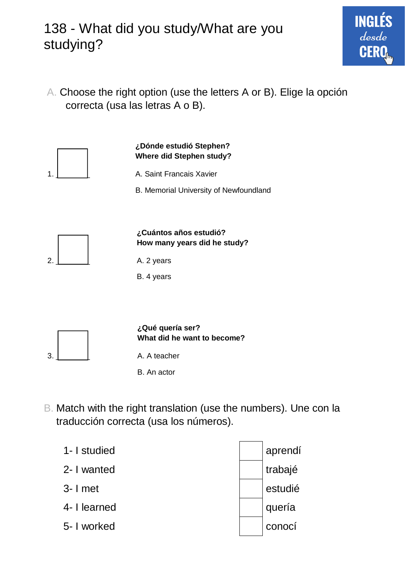## 138 - What did you study/What are you studying?

A. Choose the right option (use the letters A or B). Elige la opción correcta (usa las letras A o B).

**ING** 

desde



B. Match with the right translation (use the numbers). Une con la traducción correcta (usa los números).

| 1- I studied | aprendí |
|--------------|---------|
| 2- I wanted  | trabajé |
| $3 - 1$ met  | estudié |
| 4- I learned | quería  |
| 5- I worked  | conocí  |